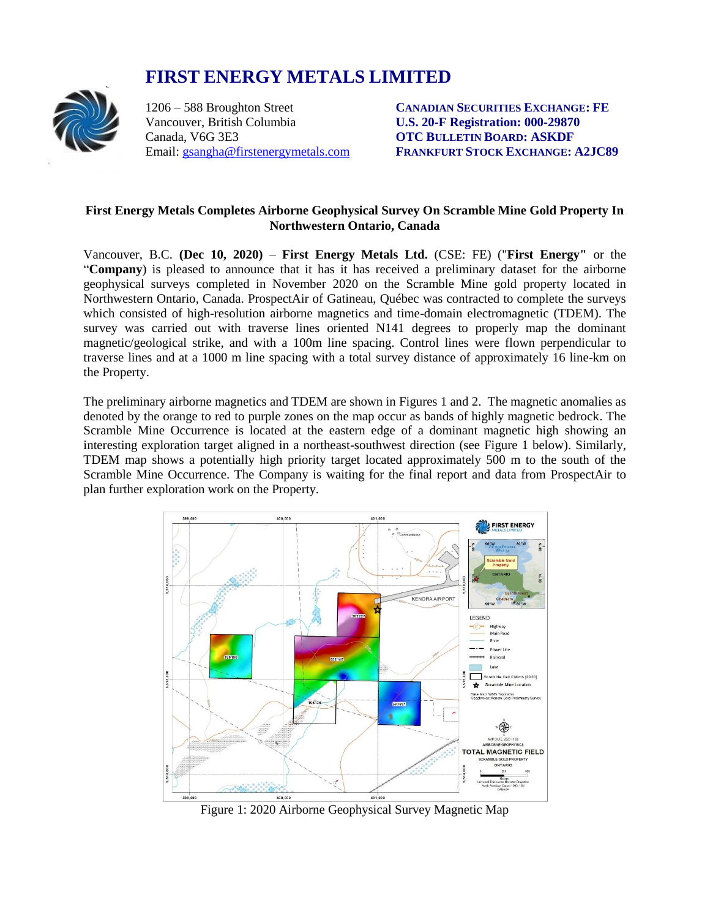# **FIRST ENERGY METALS LIMITED**



Canada, V6G 3E3 **OTC BULLETIN BOARD: ASKDF**

1206 – 588 Broughton Street **CANADIAN SECURITIES EXCHANGE: FE U.S. 20-F Registration: 000-29870** Email: [gsangha@firstenergymetals.com](mailto:gsangha@firstenergymetals.com) **FRANKFURT STOCK EXCHANGE: A2JC89**

### **First Energy Metals Completes Airborne Geophysical Survey On Scramble Mine Gold Property In Northwestern Ontario, Canada**

Vancouver, B.C. **(Dec 10, 2020)** – **First Energy Metals Ltd.** (CSE: FE) ("**First Energy"** or the "**Company**) is pleased to announce that it has it has received a preliminary dataset for the airborne geophysical surveys completed in November 2020 on the Scramble Mine gold property located in Northwestern Ontario, Canada. ProspectAir of Gatineau, Québec was contracted to complete the surveys which consisted of high-resolution airborne magnetics and time-domain electromagnetic (TDEM). The survey was carried out with traverse lines oriented N141 degrees to properly map the dominant magnetic/geological strike, and with a 100m line spacing. Control lines were flown perpendicular to traverse lines and at a 1000 m line spacing with a total survey distance of approximately 16 line-km on the Property.

The preliminary airborne magnetics and TDEM are shown in Figures 1 and 2. The magnetic anomalies as denoted by the orange to red to purple zones on the map occur as bands of highly magnetic bedrock. The Scramble Mine Occurrence is located at the eastern edge of a dominant magnetic high showing an interesting exploration target aligned in a northeast-southwest direction (see Figure 1 below). Similarly, TDEM map shows a potentially high priority target located approximately 500 m to the south of the Scramble Mine Occurrence. The Company is waiting for the final report and data from ProspectAir to plan further exploration work on the Property.



Figure 1: 2020 Airborne Geophysical Survey Magnetic Map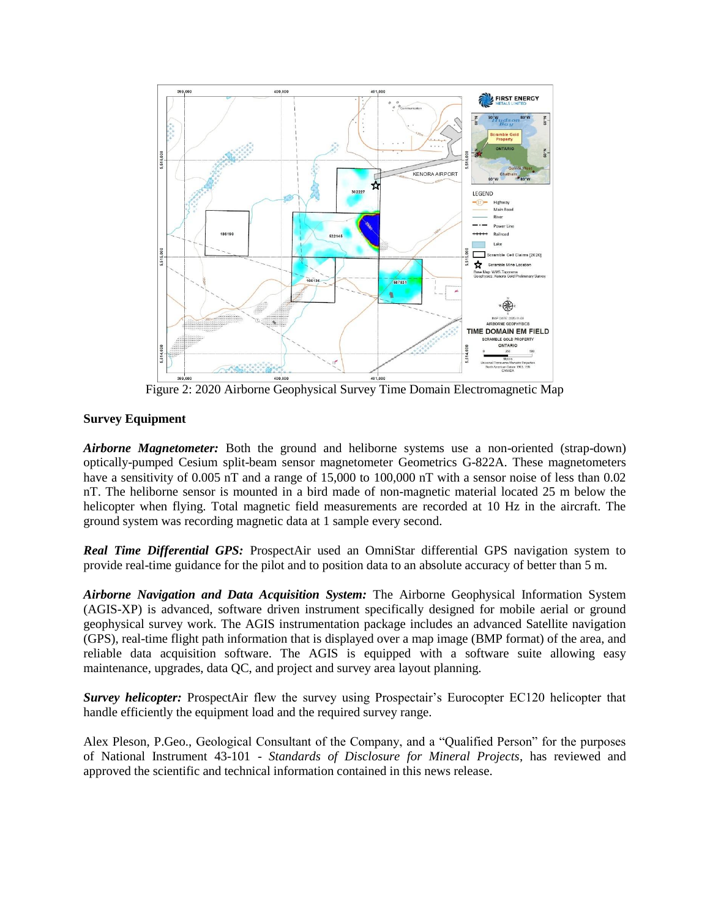

Figure 2: 2020 Airborne Geophysical Survey Time Domain Electromagnetic Map

## **Survey Equipment**

*Airborne Magnetometer:* Both the ground and heliborne systems use a non-oriented (strap-down) optically-pumped Cesium split-beam sensor magnetometer Geometrics G-822A. These magnetometers have a sensitivity of 0.005 nT and a range of 15,000 to 100,000 nT with a sensor noise of less than 0.02 nT. The heliborne sensor is mounted in a bird made of non-magnetic material located 25 m below the helicopter when flying. Total magnetic field measurements are recorded at 10 Hz in the aircraft. The ground system was recording magnetic data at 1 sample every second.

**Real Time Differential GPS:** ProspectAir used an OmniStar differential GPS navigation system to provide real-time guidance for the pilot and to position data to an absolute accuracy of better than 5 m.

*Airborne Navigation and Data Acquisition System:* The Airborne Geophysical Information System (AGIS-XP) is advanced, software driven instrument specifically designed for mobile aerial or ground geophysical survey work. The AGIS instrumentation package includes an advanced Satellite navigation (GPS), real-time flight path information that is displayed over a map image (BMP format) of the area, and reliable data acquisition software. The AGIS is equipped with a software suite allowing easy maintenance, upgrades, data QC, and project and survey area layout planning.

*Survey helicopter:* ProspectAir flew the survey using Prospectair's Eurocopter EC120 helicopter that handle efficiently the equipment load and the required survey range.

Alex Pleson, P.Geo., Geological Consultant of the Company, and a "Qualified Person" for the purposes of National Instrument 43-101 - *Standards of Disclosure for Mineral Projects*, has reviewed and approved the scientific and technical information contained in this news release.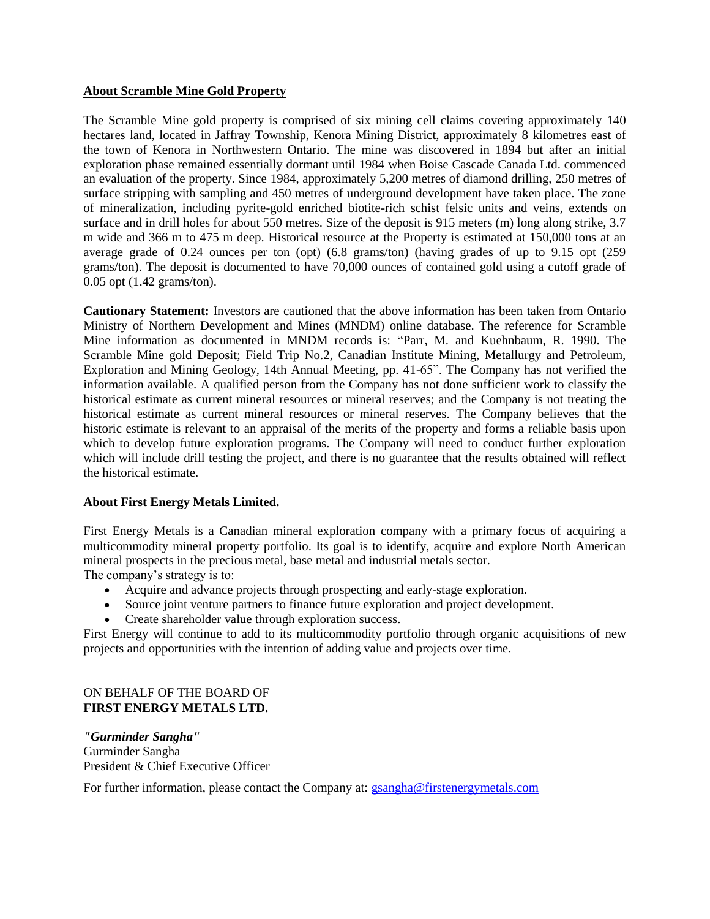#### **About Scramble Mine Gold Property**

The Scramble Mine gold property is comprised of six mining cell claims covering approximately 140 hectares land, located in Jaffray Township, Kenora Mining District, approximately 8 kilometres east of the town of Kenora in Northwestern Ontario. The mine was discovered in 1894 but after an initial exploration phase remained essentially dormant until 1984 when Boise Cascade Canada Ltd. commenced an evaluation of the property. Since 1984, approximately 5,200 metres of diamond drilling, 250 metres of surface stripping with sampling and 450 metres of underground development have taken place. The zone of mineralization, including pyrite-gold enriched biotite-rich schist felsic units and veins, extends on surface and in drill holes for about 550 metres. Size of the deposit is 915 meters (m) long along strike, 3.7 m wide and 366 m to 475 m deep. Historical resource at the Property is estimated at 150,000 tons at an average grade of 0.24 ounces per ton (opt) (6.8 grams/ton) (having grades of up to 9.15 opt (259 grams/ton). The deposit is documented to have 70,000 ounces of contained gold using a cutoff grade of 0.05 opt (1.42 grams/ton).

**Cautionary Statement:** Investors are cautioned that the above information has been taken from Ontario Ministry of Northern Development and Mines (MNDM) online database. The reference for Scramble Mine information as documented in MNDM records is: "Parr, M. and Kuehnbaum, R. 1990. The Scramble Mine gold Deposit; Field Trip No.2, Canadian Institute Mining, Metallurgy and Petroleum, Exploration and Mining Geology, 14th Annual Meeting, pp. 41-65". The Company has not verified the information available. A qualified person from the Company has not done sufficient work to classify the historical estimate as current mineral resources or mineral reserves; and the Company is not treating the historical estimate as current mineral resources or mineral reserves. The Company believes that the historic estimate is relevant to an appraisal of the merits of the property and forms a reliable basis upon which to develop future exploration programs. The Company will need to conduct further exploration which will include drill testing the project, and there is no guarantee that the results obtained will reflect the historical estimate.

#### **About First Energy Metals Limited.**

First Energy Metals is a Canadian mineral exploration company with a primary focus of acquiring a multicommodity mineral property portfolio. Its goal is to identify, acquire and explore North American mineral prospects in the precious metal, base metal and industrial metals sector. The company's strategy is to:

- Acquire and advance projects through prospecting and early-stage exploration.
- Source joint venture partners to finance future exploration and project development.
- Create shareholder value through exploration success.

First Energy will continue to add to its multicommodity portfolio through organic acquisitions of new projects and opportunities with the intention of adding value and projects over time.

#### ON BEHALF OF THE BOARD OF **FIRST ENERGY METALS LTD.**

*"Gurminder Sangha"* Gurminder Sangha President & Chief Executive Officer

For further information, please contact the Company at: [gsangha@firstenergymetals.com](mailto:gsangha@firstenergymetals.com)